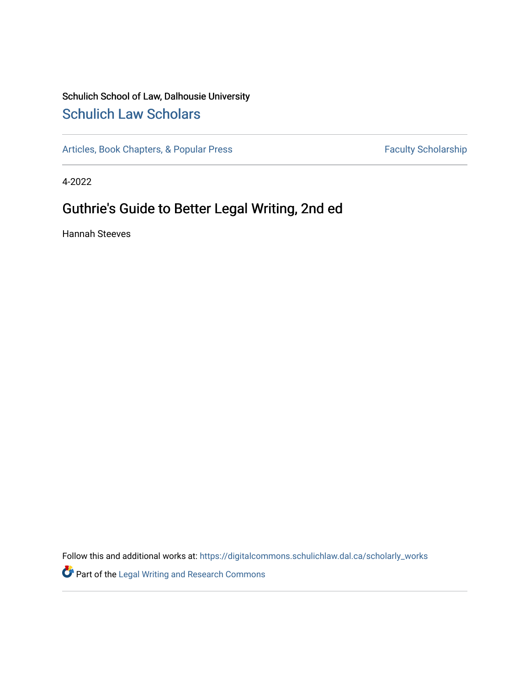## Schulich School of Law, Dalhousie University [Schulich Law Scholars](https://digitalcommons.schulichlaw.dal.ca/)

[Articles, Book Chapters, & Popular Press](https://digitalcommons.schulichlaw.dal.ca/scholarly_works) Faculty Scholarship

4-2022

## Guthrie's Guide to Better Legal Writing, 2nd ed

Hannah Steeves

Follow this and additional works at: [https://digitalcommons.schulichlaw.dal.ca/scholarly\\_works](https://digitalcommons.schulichlaw.dal.ca/scholarly_works?utm_source=digitalcommons.schulichlaw.dal.ca%2Fscholarly_works%2F755&utm_medium=PDF&utm_campaign=PDFCoverPages) 

Part of the [Legal Writing and Research Commons](http://network.bepress.com/hgg/discipline/614?utm_source=digitalcommons.schulichlaw.dal.ca%2Fscholarly_works%2F755&utm_medium=PDF&utm_campaign=PDFCoverPages)